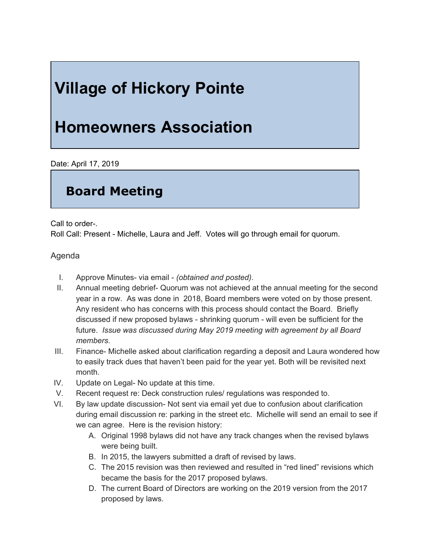## **Village of Hickory Pointe**

## **Homeowners Association**

Date: April 17, 2019

## **Board Meeting**

Call to order-.

Roll Call: Present - Michelle, Laura and Jeff. Votes will go through email for quorum.

Agenda

- I. Approve Minutes- via email *(obtained and posted)*.
- II. Annual meeting debrief- Quorum was not achieved at the annual meeting for the second year in a row. As was done in 2018, Board members were voted on by those present. Any resident who has concerns with this process should contact the Board. Briefly discussed if new proposed bylaws - shrinking quorum - will even be sufficient for the future. *Issue was discussed during May 2019 meeting with agreement by all Board members.*
- III. Finance- Michelle asked about clarification regarding a deposit and Laura wondered how to easily track dues that haven't been paid for the year yet. Both will be revisited next month.
- IV. Update on Legal- No update at this time.
- V. Recent request re: Deck construction rules/ regulations was responded to.
- VI. By law update discussion- Not sent via email yet due to confusion about clarification during email discussion re: parking in the street etc. Michelle will send an email to see if we can agree. Here is the revision history:
	- A. Original 1998 bylaws did not have any track changes when the revised bylaws were being built.
	- B. In 2015, the lawyers submitted a draft of revised by laws.
	- C. The 2015 revision was then reviewed and resulted in "red lined" revisions which became the basis for the 2017 proposed bylaws.
	- D. The current Board of Directors are working on the 2019 version from the 2017 proposed by laws.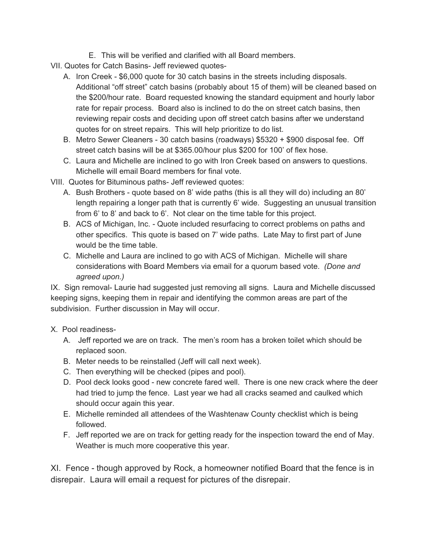- E. This will be verified and clarified with all Board members.
- VII. Quotes for Catch Basins- Jeff reviewed quotes-
	- A. Iron Creek \$6,000 quote for 30 catch basins in the streets including disposals. Additional "off street" catch basins (probably about 15 of them) will be cleaned based on the \$200/hour rate. Board requested knowing the standard equipment and hourly labor rate for repair process. Board also is inclined to do the on street catch basins, then reviewing repair costs and deciding upon off street catch basins after we understand quotes for on street repairs. This will help prioritize to do list.
	- B. Metro Sewer Cleaners 30 catch basins (roadways) \$5320 + \$900 disposal fee. Off street catch basins will be at \$365.00/hour plus \$200 for 100' of flex hose.
	- C. Laura and Michelle are inclined to go with Iron Creek based on answers to questions. Michelle will email Board members for final vote.

VIII. Quotes for Bituminous paths- Jeff reviewed quotes:

- A. Bush Brothers quote based on 8' wide paths (this is all they will do) including an 80' length repairing a longer path that is currently 6' wide. Suggesting an unusual transition from 6' to 8' and back to 6'. Not clear on the time table for this project.
- B. ACS of Michigan, Inc. Quote included resurfacing to correct problems on paths and other specifics. This quote is based on 7' wide paths. Late May to first part of June would be the time table.
- C. Michelle and Laura are inclined to go with ACS of Michigan. Michelle will share considerations with Board Members via email for a quorum based vote. *(Done and agreed upon.)*

IX. Sign removal- Laurie had suggested just removing all signs. Laura and Michelle discussed keeping signs, keeping them in repair and identifying the common areas are part of the subdivision. Further discussion in May will occur.

## X. Pool readiness-

- A. Jeff reported we are on track. The men's room has a broken toilet which should be replaced soon.
- B. Meter needs to be reinstalled (Jeff will call next week).
- C. Then everything will be checked (pipes and pool).
- D. Pool deck looks good new concrete fared well. There is one new crack where the deer had tried to jump the fence. Last year we had all cracks seamed and caulked which should occur again this year.
- E. Michelle reminded all attendees of the Washtenaw County checklist which is being followed.
- F. Jeff reported we are on track for getting ready for the inspection toward the end of May. Weather is much more cooperative this year.

XI. Fence - though approved by Rock, a homeowner notified Board that the fence is in disrepair. Laura will email a request for pictures of the disrepair.